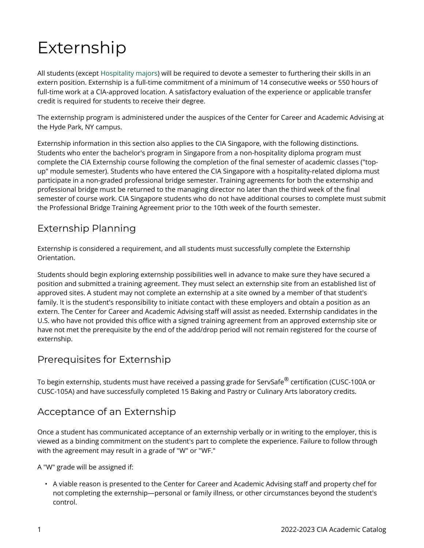# Externship

All students (except [Hospitality majors\)](https://live-cia-catalog22.cleancatalog.io/hospitality/bachelor-of-science-bs/hospitality-management-bs-ny) will be required to devote a semester to furthering their skills in an extern position. Externship is a full-time commitment of a minimum of 14 consecutive weeks or 550 hours of full-time work at a CIA-approved location. A satisfactory evaluation of the experience or applicable transfer credit is required for students to receive their degree.

The externship program is administered under the auspices of the Center for Career and Academic Advising at the Hyde Park, NY campus.

Externship information in this section also applies to the CIA Singapore, with the following distinctions. Students who enter the bachelor's program in Singapore from a non-hospitality diploma program must complete the CIA Externship course following the completion of the final semester of academic classes ("topup" module semester). Students who have entered the CIA Singapore with a hospitality-related diploma must participate in a non-graded professional bridge semester. Training agreements for both the externship and professional bridge must be returned to the managing director no later than the third week of the final semester of course work. CIA Singapore students who do not have additional courses to complete must submit the Professional Bridge Training Agreement prior to the 10th week of the fourth semester.

#### Externship Planning

Externship is considered a requirement, and all students must successfully complete the Externship Orientation.

Students should begin exploring externship possibilities well in advance to make sure they have secured a position and submitted a training agreement. They must select an externship site from an established list of approved sites. A student may not complete an externship at a site owned by a member of that student's family. It is the student's responsibility to initiate contact with these employers and obtain a position as an extern. The Center for Career and Academic Advising staff will assist as needed. Externship candidates in the U.S. who have not provided this office with a signed training agreement from an approved externship site or have not met the prerequisite by the end of the add/drop period will not remain registered for the course of externship.

### Prerequisites for Externship

To begin externship, students must have received a passing grade for ServSafe $^\circledR$  certification (CUSC-100A or CUSC-105A) and have successfully completed 15 Baking and Pastry or Culinary Arts laboratory credits.

### Acceptance of an Externship

Once a student has communicated acceptance of an externship verbally or in writing to the employer, this is viewed as a binding commitment on the student's part to complete the experience. Failure to follow through with the agreement may result in a grade of "W" or "WF."

A "W" grade will be assigned if:

• A viable reason is presented to the Center for Career and Academic Advising staff and property chef for not completing the externship—personal or family illness, or other circumstances beyond the student's control.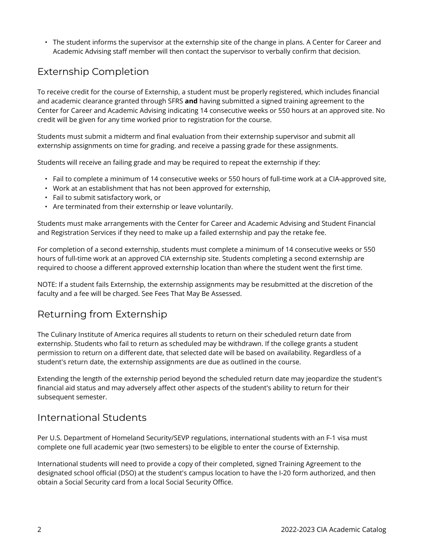• The student informs the supervisor at the externship site of the change in plans. A Center for Career and Academic Advising staff member will then contact the supervisor to verbally confirm that decision.

## Externship Completion

To receive credit for the course of Externship, a student must be properly registered, which includes financial and academic clearance granted through SFRS **and** having submitted a signed training agreement to the Center for Career and Academic Advising indicating 14 consecutive weeks or 550 hours at an approved site. No credit will be given for any time worked prior to registration for the course.

Students must submit a midterm and final evaluation from their externship supervisor and submit all externship assignments on time for grading. and receive a passing grade for these assignments.

Students will receive an failing grade and may be required to repeat the externship if they:

- Fail to complete a minimum of 14 consecutive weeks or 550 hours of full-time work at a CIA-approved site,
- Work at an establishment that has not been approved for externship,
- Fail to submit satisfactory work, or
- Are terminated from their externship or leave voluntarily.

Students must make arrangements with the Center for Career and Academic Advising and Student Financial and Registration Services if they need to make up a failed externship and pay the retake fee.

For completion of a second externship, students must complete a minimum of 14 consecutive weeks or 550 hours of full-time work at an approved CIA externship site. Students completing a second externship are required to choose a different approved externship location than where the student went the first time.

NOTE: If a student fails Externship, the externship assignments may be resubmitted at the discretion of the faculty and a fee will be charged. See Fees That May Be Assessed.

### Returning from Externship

The Culinary Institute of America requires all students to return on their scheduled return date from externship. Students who fail to return as scheduled may be withdrawn. If the college grants a student permission to return on a different date, that selected date will be based on availability. Regardless of a student's return date, the externship assignments are due as outlined in the course.

Extending the length of the externship period beyond the scheduled return date may jeopardize the student's financial aid status and may adversely affect other aspects of the student's ability to return for their subsequent semester.

### International Students

Per U.S. Department of Homeland Security/SEVP regulations, international students with an F-1 visa must complete one full academic year (two semesters) to be eligible to enter the course of Externship.

International students will need to provide a copy of their completed, signed Training Agreement to the designated school official (DSO) at the student's campus location to have the I-20 form authorized, and then obtain a Social Security card from a local Social Security Office.